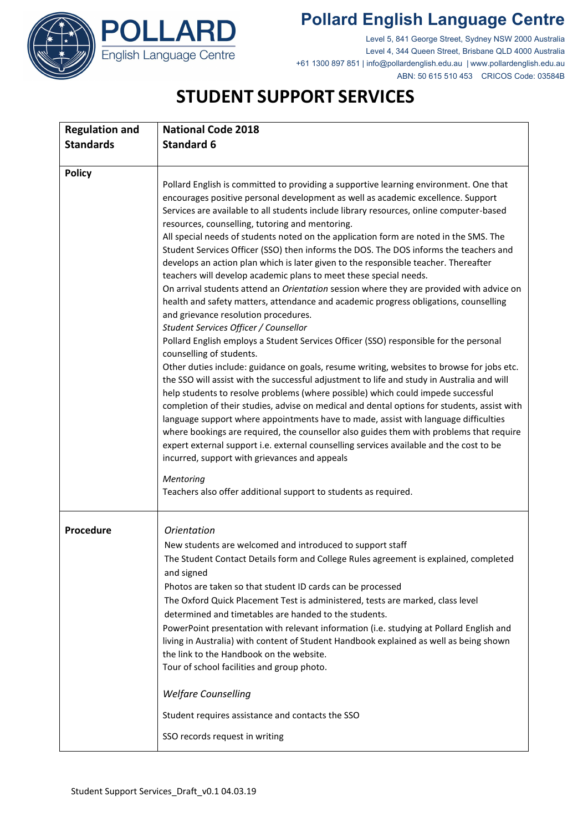## **Pollard English Language Centre**





Level 5, 841 George Street, Sydney NSW 2000 Australia Level 4, 344 Queen Street, Brisbane QLD 4000 Australia +61 1300 897 851 | info@pollardenglish.edu.au | www.pollardenglish.edu.au ABN: 50 615 510 453 CRICOS Code: 03584B

## **STUDENT SUPPORT SERVICES**

| <b>Regulation and</b> | <b>National Code 2018</b>                                                                                                                                                                                                                                                                                                                                                                                                                                                                                                                                                                                                                                                                                                                                                                                                                                                                                                                                                                                                                                                                                                                                                                                                                                                                                                                                                                                                                                                                                                                                                                                                                                                                                                                                                                                                                                   |
|-----------------------|-------------------------------------------------------------------------------------------------------------------------------------------------------------------------------------------------------------------------------------------------------------------------------------------------------------------------------------------------------------------------------------------------------------------------------------------------------------------------------------------------------------------------------------------------------------------------------------------------------------------------------------------------------------------------------------------------------------------------------------------------------------------------------------------------------------------------------------------------------------------------------------------------------------------------------------------------------------------------------------------------------------------------------------------------------------------------------------------------------------------------------------------------------------------------------------------------------------------------------------------------------------------------------------------------------------------------------------------------------------------------------------------------------------------------------------------------------------------------------------------------------------------------------------------------------------------------------------------------------------------------------------------------------------------------------------------------------------------------------------------------------------------------------------------------------------------------------------------------------------|
| <b>Standards</b>      | <b>Standard 6</b>                                                                                                                                                                                                                                                                                                                                                                                                                                                                                                                                                                                                                                                                                                                                                                                                                                                                                                                                                                                                                                                                                                                                                                                                                                                                                                                                                                                                                                                                                                                                                                                                                                                                                                                                                                                                                                           |
|                       |                                                                                                                                                                                                                                                                                                                                                                                                                                                                                                                                                                                                                                                                                                                                                                                                                                                                                                                                                                                                                                                                                                                                                                                                                                                                                                                                                                                                                                                                                                                                                                                                                                                                                                                                                                                                                                                             |
| <b>Policy</b>         | Pollard English is committed to providing a supportive learning environment. One that<br>encourages positive personal development as well as academic excellence. Support<br>Services are available to all students include library resources, online computer-based<br>resources, counselling, tutoring and mentoring.<br>All special needs of students noted on the application form are noted in the SMS. The<br>Student Services Officer (SSO) then informs the DOS. The DOS informs the teachers and<br>develops an action plan which is later given to the responsible teacher. Thereafter<br>teachers will develop academic plans to meet these special needs.<br>On arrival students attend an Orientation session where they are provided with advice on<br>health and safety matters, attendance and academic progress obligations, counselling<br>and grievance resolution procedures.<br>Student Services Officer / Counsellor<br>Pollard English employs a Student Services Officer (SSO) responsible for the personal<br>counselling of students.<br>Other duties include: guidance on goals, resume writing, websites to browse for jobs etc.<br>the SSO will assist with the successful adjustment to life and study in Australia and will<br>help students to resolve problems (where possible) which could impede successful<br>completion of their studies, advise on medical and dental options for students, assist with<br>language support where appointments have to made, assist with language difficulties<br>where bookings are required, the counsellor also guides them with problems that require<br>expert external support i.e. external counselling services available and the cost to be<br>incurred, support with grievances and appeals<br>Mentoring<br>Teachers also offer additional support to students as required. |
| Procedure             | <b>Orientation</b><br>New students are welcomed and introduced to support staff<br>The Student Contact Details form and College Rules agreement is explained, completed<br>and signed<br>Photos are taken so that student ID cards can be processed<br>The Oxford Quick Placement Test is administered, tests are marked, class level<br>determined and timetables are handed to the students.<br>PowerPoint presentation with relevant information (i.e. studying at Pollard English and<br>living in Australia) with content of Student Handbook explained as well as being shown<br>the link to the Handbook on the website.<br>Tour of school facilities and group photo.<br><b>Welfare Counselling</b><br>Student requires assistance and contacts the SSO<br>SSO records request in writing                                                                                                                                                                                                                                                                                                                                                                                                                                                                                                                                                                                                                                                                                                                                                                                                                                                                                                                                                                                                                                                           |